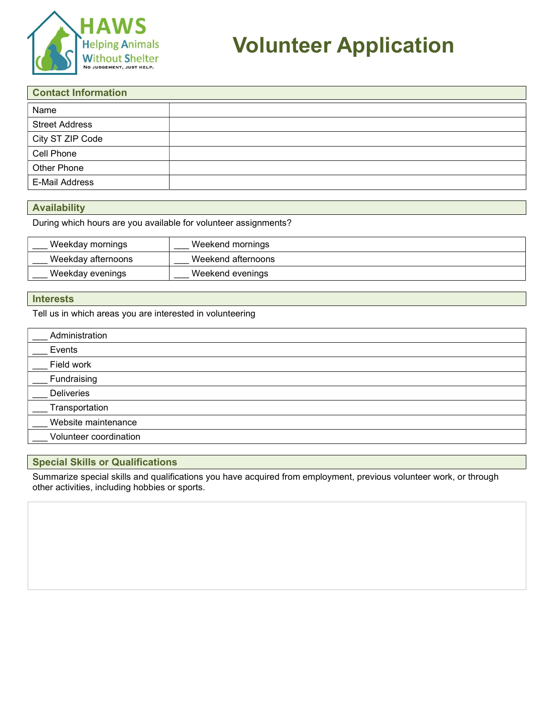

# Volunteer Application

| <b>Contact Information</b> |  |  |
|----------------------------|--|--|
| Name                       |  |  |
| <b>Street Address</b>      |  |  |
| City ST ZIP Code           |  |  |
| Cell Phone                 |  |  |
| Other Phone                |  |  |
| E-Mail Address             |  |  |

### Availability

During which hours are you available for volunteer assignments?

| Weekday mornings   | Weekend mornings   |
|--------------------|--------------------|
| Weekday afternoons | Weekend afternoons |
| Weekday evenings   | Weekend evenings   |

### **Interests**

Tell us in which areas you are interested in volunteering

| Administration         |  |
|------------------------|--|
|                        |  |
| Events                 |  |
|                        |  |
| Field work             |  |
|                        |  |
| Fundraising            |  |
|                        |  |
|                        |  |
| <b>Deliveries</b>      |  |
|                        |  |
| Transportation         |  |
|                        |  |
| Website maintenance    |  |
|                        |  |
| Volunteer coordination |  |
|                        |  |

### Special Skills or Qualifications

Summarize special skills and qualifications you have acquired from employment, previous volunteer work, or through other activities, including hobbies or sports.